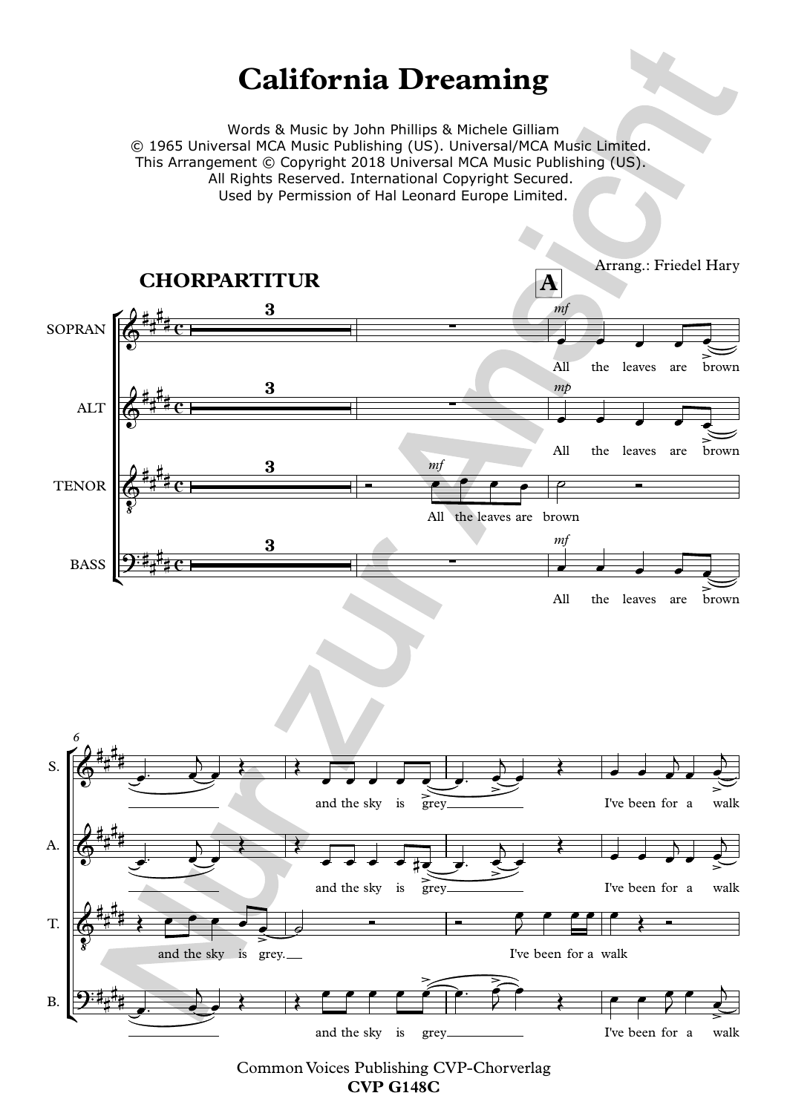## **California Dreaming**

Words & Music by John Phillips & Michele Gilliam © 1965 Universal MCA Music Publishing (US). Universal/MCA Music Limited. This Arrangement © Copyright 2018 Universal MCA Music Publishing (US). All Rights Reserved. International Copyright Secured. Used by Permission of Hal Leonard Europe Limited.



Common Voices Publishing CVP-Chorverlag **CVP G148C**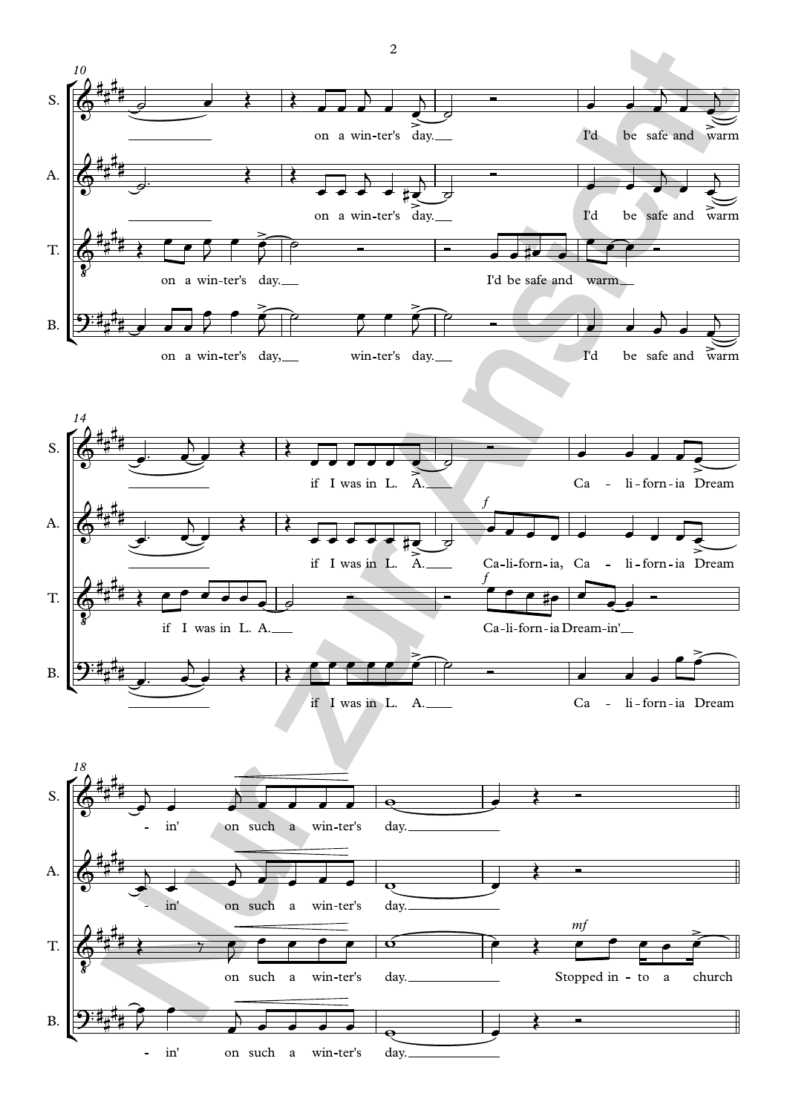

2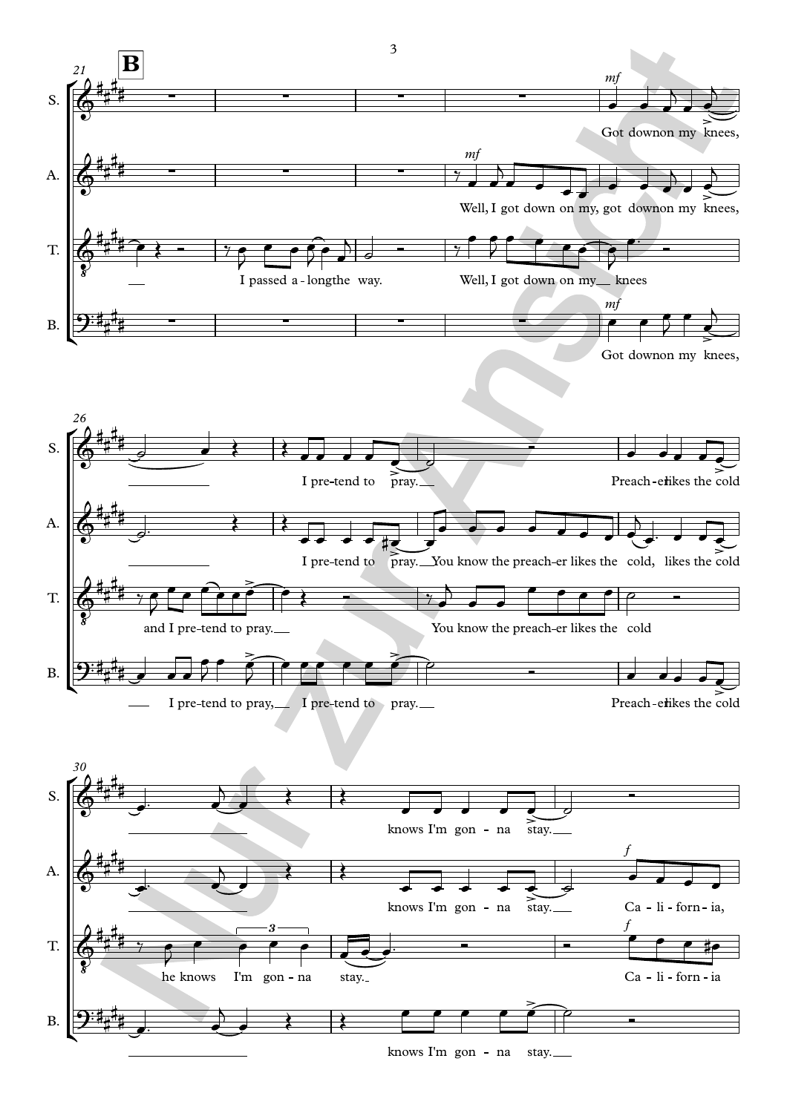

knows I'm gon - na stay.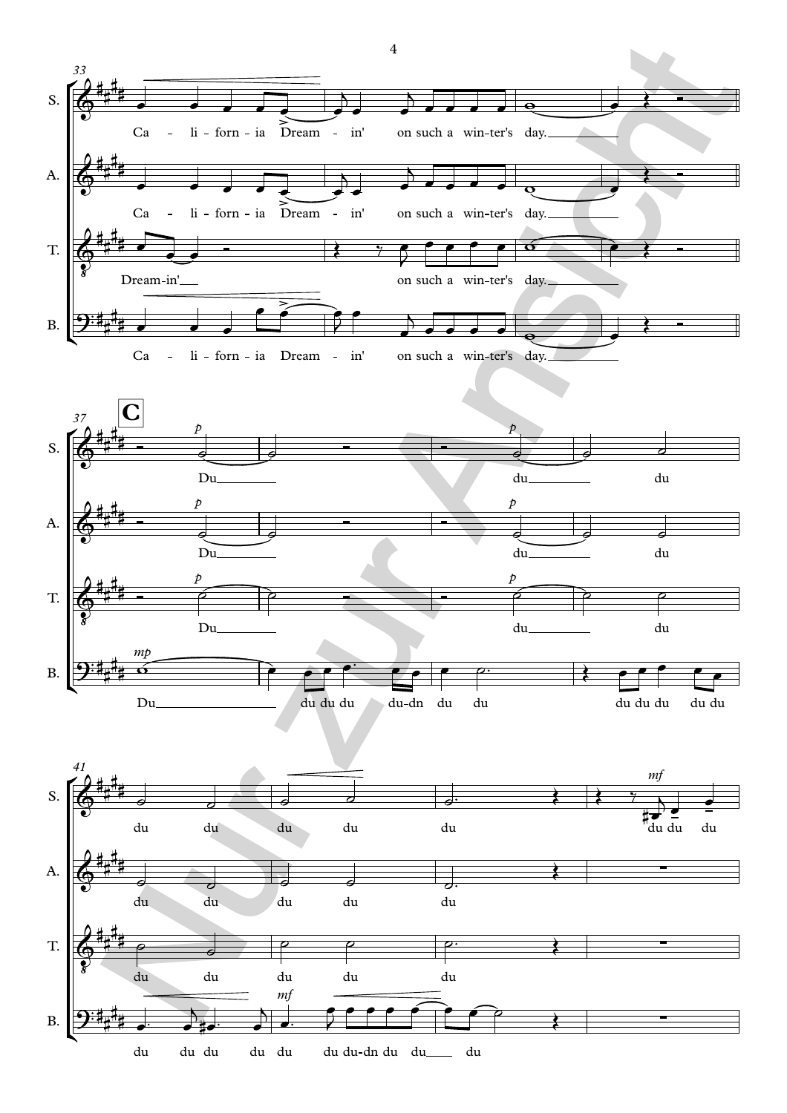